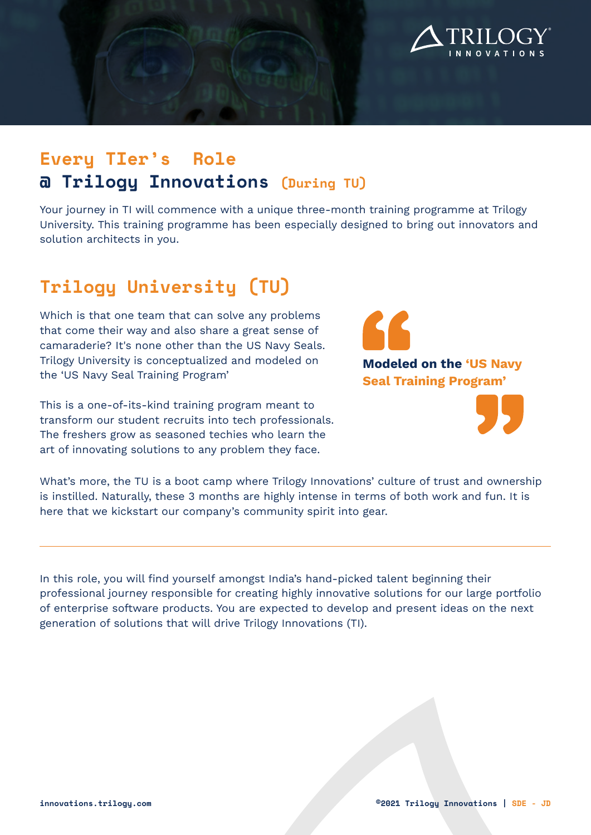

## **Every TIer's Role @ Trilogy Innovations (During TU)**

Your journey in TI will commence with a unique three-month training programme at Trilogy University. This training programme has been especially designed to bring out innovators and solution architects in you.

# **Trilogy University (TU)**

Which is that one team that can solve any problems that come their way and also share a great sense of camaraderie? It's none other than the US Navy Seals. Trilogy University is conceptualized and modeled on the 'US Navy Seal Training Program'

This is a one-of-its-kind training program meant to transform our student recruits into tech professionals. The freshers grow as seasoned techies who learn the art of innovating solutions to any problem they face.

**Modeled on the 'US Navy Seal Training Program'**



What's more, the TU is a boot camp where Trilogy Innovations' culture of trust and ownership is instilled. Naturally, these 3 months are highly intense in terms of both work and fun. It is here that we kickstart our company's community spirit into gear.

In this role, you will find yourself amongst India's hand-picked talent beginning their professional journey responsible for creating highly innovative solutions for our large portfolio of enterprise software products. You are expected to develop and present ideas on the next generation of solutions that will drive Trilogy Innovations (TI).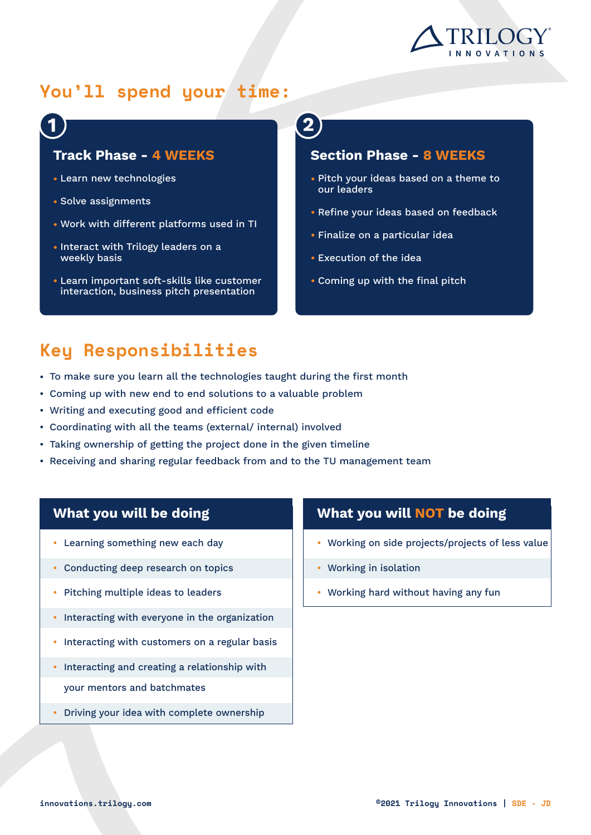

## **You'll spend your time:**

### **Track Phase - 4 WEEKS**

- Learn new technologies
- Solve assignments
- Work with different platforms used in TI
- Interact with Trilogy leaders on a weekly basis
- Learn important soft-skills like customer interaction, business pitch presentation

#### **Section Phase - 8 WEEKS**

- Pitch your ideas based on a theme to our leaders
- Refine your ideas based on feedback
- Finalize on a particular idea
- Execution of the idea
- Coming up with the final pitch

### **Key Responsibilities**

- To make sure you learn all the technologies taught during the first month
- Coming up with new end to end solutions to a valuable problem •
- Writing and executing good and efficient code •
- Coordinating with all the teams (external/ internal) involved •
- Taking ownership of getting the project done in the given timeline •
- $\bullet\,$  Receiving and sharing regular feedback from and to the TU management team

### **What you will be doing**

- Learning something new each day •
- Conducting deep research on topics
- Pitching multiple ideas to leaders
- Interacting with everyone in the organization
- Interacting with customers on a regular basis
- Interacting and creating a relationship with your mentors and batchmates
- Driving your idea with complete ownership

### **What you will NOT be doing**

- Working on side projects/projects of less value •
- Working in isolation •
- Working hard without having any fun •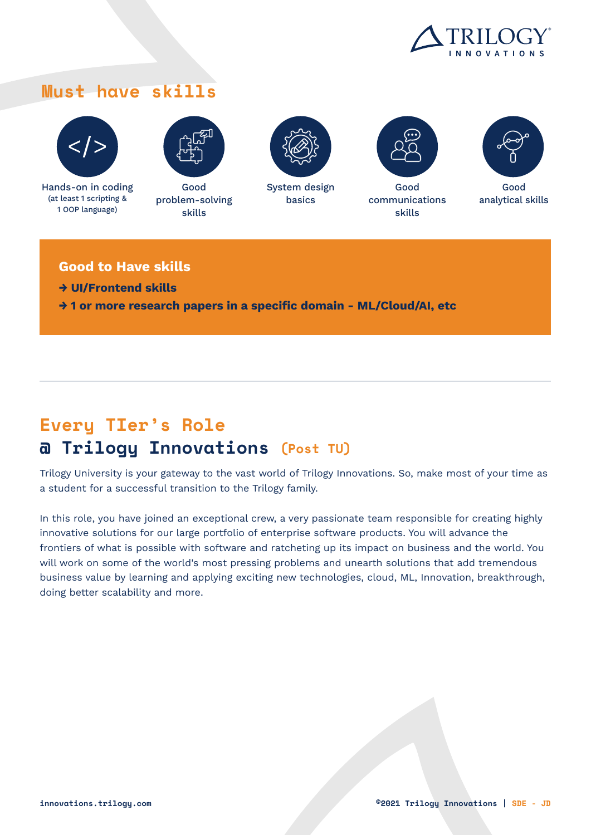

### **Must have skills**



Hands-on in coding (at least 1 scripting & 1 OOP language)



Good problem-solving skills



System design basics



Good communications skills



Good analytical skills

#### **Good to Have skills**

- **→ UI/Frontend skills**
- **→ 1 or more research papers in a specific domain ML/Cloud/AI, etc**

# **Every TIer's Role @ Trilogy Innovations (Post TU)**

Trilogy University is your gateway to the vast world of Trilogy Innovations. So, make most of your time as a student for a successful transition to the Trilogy family.

In this role, you have joined an exceptional crew, a very passionate team responsible for creating highly innovative solutions for our large portfolio of enterprise software products. You will advance the frontiers of what is possible with software and ratcheting up its impact on business and the world. You will work on some of the world's most pressing problems and unearth solutions that add tremendous business value by learning and applying exciting new technologies, cloud, ML, Innovation, breakthrough, doing better scalability and more.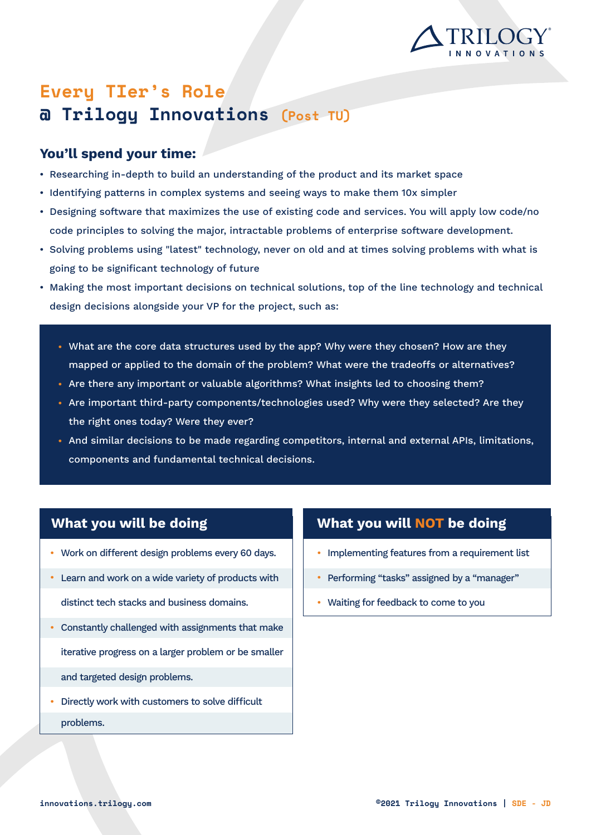

## **Every TIer's Role @ Trilogy Innovations (Post TU)**

### **You'll spend your time:**

- Researching in-depth to build an understanding of the product and its market space
- $\bullet$  Identifying patterns in complex systems and seeing ways to make them 10x simpler
- Designing software that maximizes the use of existing code and services. You will apply low code/no code principles to solving the major, intractable problems of enterprise software development.
- Solving problems using "latest" technology, never on old and at times solving problems with what is going to be significant technology of future
- Making the most important decisions on technical solutions, top of the line technology and technical design decisions alongside your VP for the project, such as:
	- $\bullet$  What are the core data structures used by the app? Why were they chosen? How are they mapped or applied to the domain of the problem? What were the tradeoffs or alternatives?
	- Are there any important or valuable algorithms? What insights led to choosing them?
	- Are important third-party components/technologies used? Why were they selected? Are they the right ones today? Were they ever?
	- $\bullet$  And similar decisions to be made regarding competitors, internal and external APIs, limitations, components and fundamental technical decisions.

### **What you will be doing**

- Work on different design problems every 60 days. •
- Learn and work on a wide variety of products with distinct tech stacks and business domains.
- Constantly challenged with assignments that make iterative progress on a larger problem or be smaller and targeted design problems.
- Directly work with customers to solve difficult problems.

### **What you will NOT be doing**

- Implementing features from a requirement list
- Performing "tasks" assigned by a "manager" •
- Waiting for feedback to come to you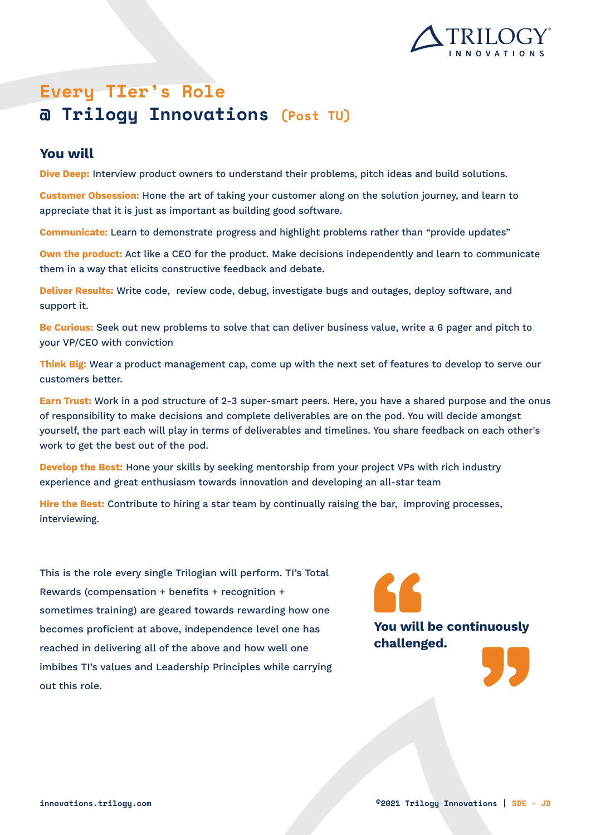

# **Every TIer's Role @ Trilogy Innovations (Post TU)**

#### **You will**

**Dive Deep:** Interview product owners to understand their problems, pitch ideas and build solutions.

**Customer Obsession:** Hone the art of taking your customer along on the solution journey, and learn to appreciate that it is just as important as building good software.

**Communicate:** Learn to demonstrate progress and highlight problems rather than "provide updates"

**Own the product:** Act like a CEO for the product. Make decisions independently and learn to communicate them in a way that elicits constructive feedback and debate.

**Deliver Results:** Write code, review code, debug, investigate bugs and outages, deploy software, and support it.

**Be Curious:** Seek out new problems to solve that can deliver business value, write a 6 pager and pitch to your VP/CEO with conviction

**Think Big:** Wear a product management cap, come up with the next set of features to develop to serve our customers better.

**Earn Trust:** Work in a pod structure of 2-3 super-smart peers. Here, you have a shared purpose and the onus of responsibility to make decisions and complete deliverables are on the pod. You will decide amongst yourself, the part each will play in terms of deliverables and timelines. You share feedback on each other's work to get the best out of the pod.

**Develop the Best:** Hone your skills by seeking mentorship from your project VPs with rich industry experience and great enthusiasm towards innovation and developing an all-star team

**Hire the Best:** Contribute to hiring a star team by continually raising the bar, improving processes, interviewing.

This is the role every single Trilogian will perform. TI's Total Rewards (compensation + benefits + recognition + sometimes training) are geared towards rewarding how one becomes proficient at above, independence level one has reached in delivering all of the above and how well one imbibes TI's values and Leadership Principles while carrying out this role.

**You will be continuously challenged.**